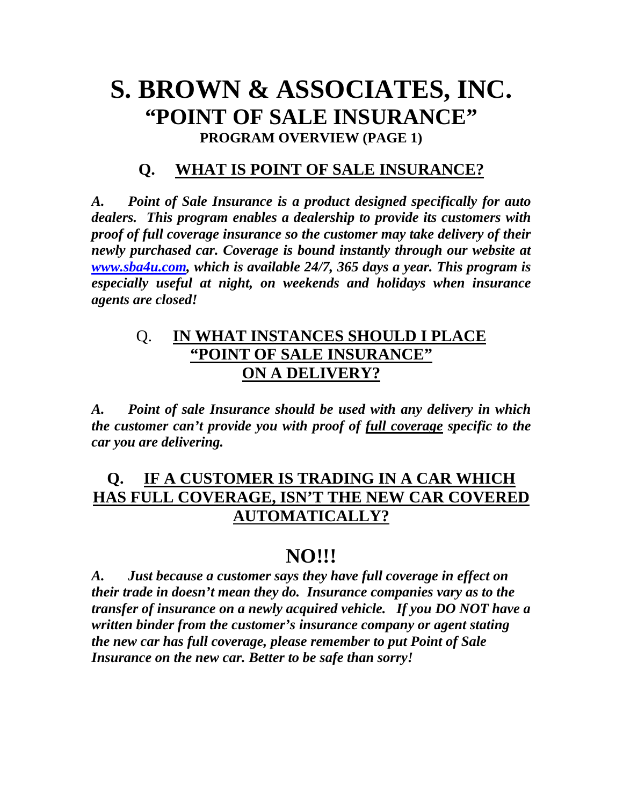# **S. BROWN & ASSOCIATES, INC. "POINT OF SALE INSURANCE" PROGRAM OVERVIEW (PAGE 1)**

## **Q. WHAT IS POINT OF SALE INSURANCE?**

*A. Point of Sale Insurance is a product designed specifically for auto dealers. This program enables a dealership to provide its customers with proof of full coverage insurance so the customer may take delivery of their newly purchased car. Coverage is bound instantly through our website at [www.sba4u.com](http://www.sba4u.com/), which is available 24/7, 365 days a year. This program is especially useful at night, on weekends and holidays when insurance agents are closed!* 

## Q. **IN WHAT INSTANCES SHOULD I PLACE "POINT OF SALE INSURANCE" ON A DELIVERY?**

*A. Point of sale Insurance should be used with any delivery in which the customer can't provide you with proof of full coverage specific to the car you are delivering.* 

# **Q. IF A CUSTOMER IS TRADING IN A CAR WHICH HAS FULL COVERAGE, ISN'T THE NEW CAR COVERED AUTOMATICALLY?**

# **NO!!!**

*A. Just because a customer says they have full coverage in effect on their trade in doesn't mean they do. Insurance companies vary as to the transfer of insurance on a newly acquired vehicle. If you DO NOT have a written binder from the customer's insurance company or agent stating the new car has full coverage, please remember to put Point of Sale Insurance on the new car. Better to be safe than sorry!*